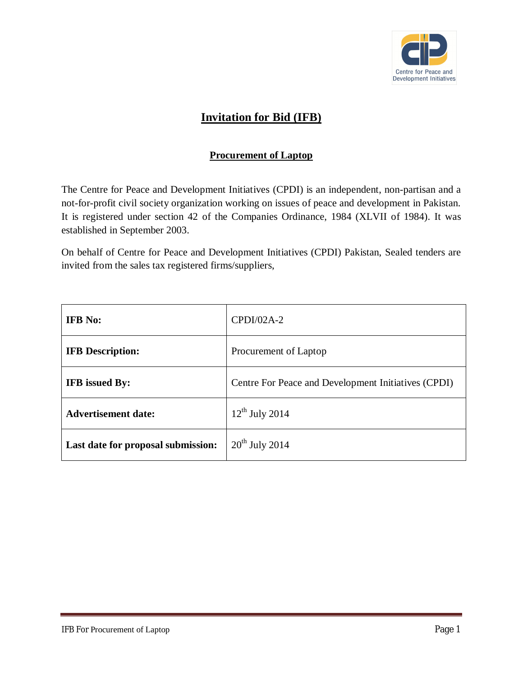

# **Invitation for Bid (IFB)**

## **Procurement of Laptop**

The Centre for Peace and Development Initiatives (CPDI) is an independent, non-partisan and a not-for-profit civil society organization working on issues of peace and development in Pakistan. It is registered under section 42 of the Companies Ordinance, 1984 (XLVII of 1984). It was established in September 2003.

On behalf of Centre for Peace and Development Initiatives (CPDI) Pakistan, Sealed tenders are invited from the sales tax registered firms/suppliers,

| <b>IFB</b> No:                     | $CPDI/02A-2$                                        |
|------------------------------------|-----------------------------------------------------|
| <b>IFB</b> Description:            | Procurement of Laptop                               |
| <b>IFB</b> issued By:              | Centre For Peace and Development Initiatives (CPDI) |
| <b>Advertisement date:</b>         | $12^{th}$ July 2014                                 |
| Last date for proposal submission: | $20th$ July 2014                                    |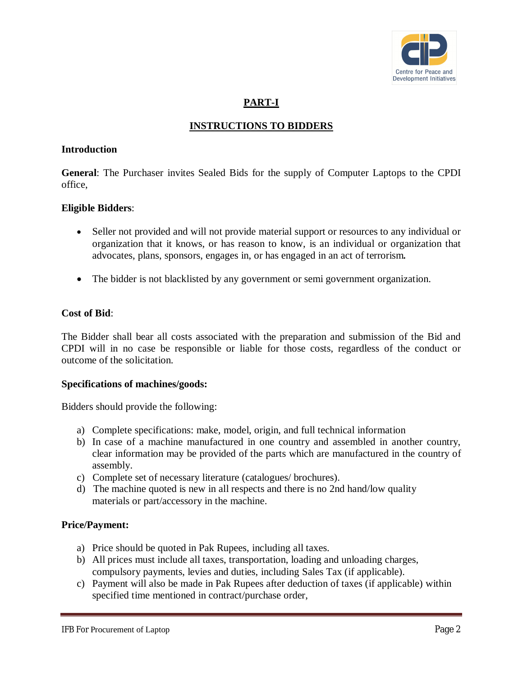

## **PART-I**

## **INSTRUCTIONS TO BIDDERS**

### **Introduction**

**General**: The Purchaser invites Sealed Bids for the supply of Computer Laptops to the CPDI office,

### **Eligible Bidders**:

- Seller not provided and will not provide material support or resources to any individual or organization that it knows, or has reason to know, is an individual or organization that advocates, plans, sponsors, engages in, or has engaged in an act of terrorism*.*
- The bidder is not blacklisted by any government or semi government organization.

#### **Cost of Bid**:

The Bidder shall bear all costs associated with the preparation and submission of the Bid and CPDI will in no case be responsible or liable for those costs, regardless of the conduct or outcome of the solicitation.

#### **Specifications of machines/goods:**

Bidders should provide the following:

- a) Complete specifications: make, model, origin, and full technical information
- b) In case of a machine manufactured in one country and assembled in another country, clear information may be provided of the parts which are manufactured in the country of assembly.
- c) Complete set of necessary literature (catalogues/ brochures).
- d) The machine quoted is new in all respects and there is no 2nd hand/low quality materials or part/accessory in the machine.

### **Price/Payment:**

- a) Price should be quoted in Pak Rupees, including all taxes.
- b) All prices must include all taxes, transportation, loading and unloading charges, compulsory payments, levies and duties, including Sales Tax (if applicable).
- c) Payment will also be made in Pak Rupees after deduction of taxes (if applicable) within specified time mentioned in contract/purchase order,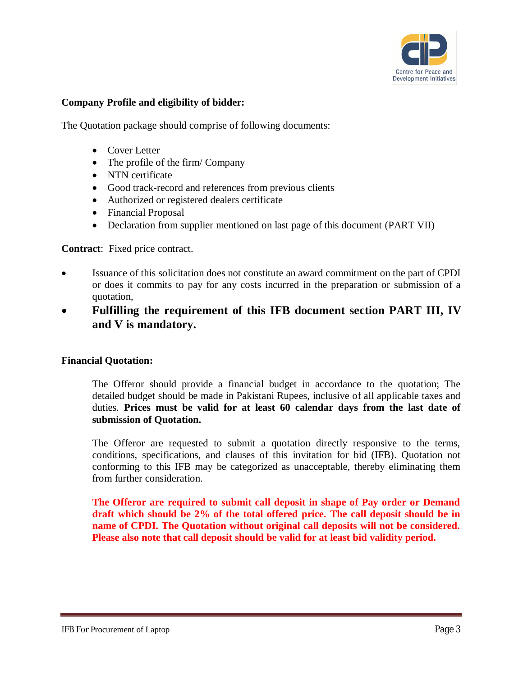

### **Company Profile and eligibility of bidder:**

The Quotation package should comprise of following documents:

- Cover Letter
- The profile of the firm/ Company
- NTN certificate
- Good track-record and references from previous clients
- Authorized or registered dealers certificate
- Financial Proposal
- Declaration from supplier mentioned on last page of this document (PART VII)

**Contract**: Fixed price contract.

- Issuance of this solicitation does not constitute an award commitment on the part of CPDI or does it commits to pay for any costs incurred in the preparation or submission of a quotation,
- **Fulfilling the requirement of this IFB document section PART III, IV and V is mandatory.**

### **Financial Quotation:**

The Offeror should provide a financial budget in accordance to the quotation; The detailed budget should be made in Pakistani Rupees, inclusive of all applicable taxes and duties. **Prices must be valid for at least 60 calendar days from the last date of submission of Quotation.**

The Offeror are requested to submit a quotation directly responsive to the terms, conditions, specifications, and clauses of this invitation for bid (IFB). Quotation not conforming to this IFB may be categorized as unacceptable, thereby eliminating them from further consideration.

**The Offeror are required to submit call deposit in shape of Pay order or Demand draft which should be 2% of the total offered price. The call deposit should be in name of CPDI. The Quotation without original call deposits will not be considered. Please also note that call deposit should be valid for at least bid validity period.**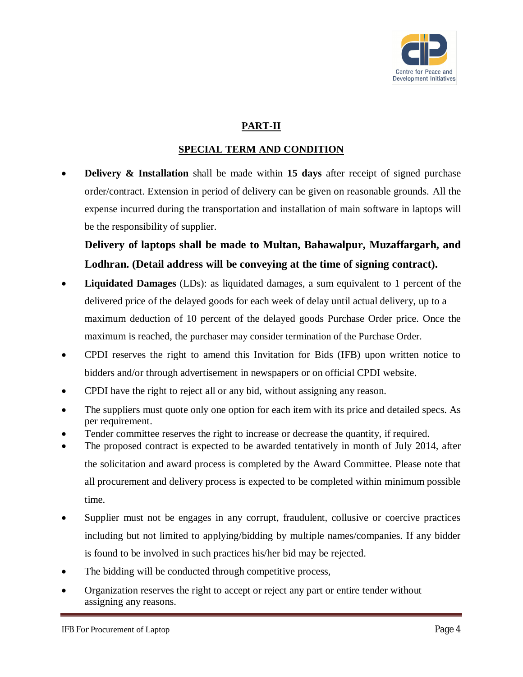

## **PART-II**

## **SPECIAL TERM AND CONDITION**

**Delivery & Installation** shall be made within 15 days after receipt of signed purchase order/contract. Extension in period of delivery can be given on reasonable grounds. All the expense incurred during the transportation and installation of main software in laptops will be the responsibility of supplier.

**Delivery of laptops shall be made to Multan, Bahawalpur, Muzaffargarh, and Lodhran. (Detail address will be conveying at the time of signing contract).** 

- **Liquidated Damages** (LDs): as liquidated damages, a sum equivalent to 1 percent of the delivered price of the delayed goods for each week of delay until actual delivery, up to a maximum deduction of 10 percent of the delayed goods Purchase Order price. Once the maximum is reached, the purchaser may consider termination of the Purchase Order.
- CPDI reserves the right to amend this Invitation for Bids (IFB) upon written notice to bidders and/or through advertisement in newspapers or on official CPDI website.
- CPDI have the right to reject all or any bid, without assigning any reason.
- The suppliers must quote only one option for each item with its price and detailed specs. As per requirement.
- Tender committee reserves the right to increase or decrease the quantity, if required.
- The proposed contract is expected to be awarded tentatively in month of July 2014, after the solicitation and award process is completed by the Award Committee. Please note that all procurement and delivery process is expected to be completed within minimum possible time.
- Supplier must not be engages in any corrupt, fraudulent, collusive or coercive practices including but not limited to applying/bidding by multiple names/companies. If any bidder is found to be involved in such practices his/her bid may be rejected.
- The bidding will be conducted through competitive process,
- Organization reserves the right to accept or reject any part or entire tender without assigning any reasons.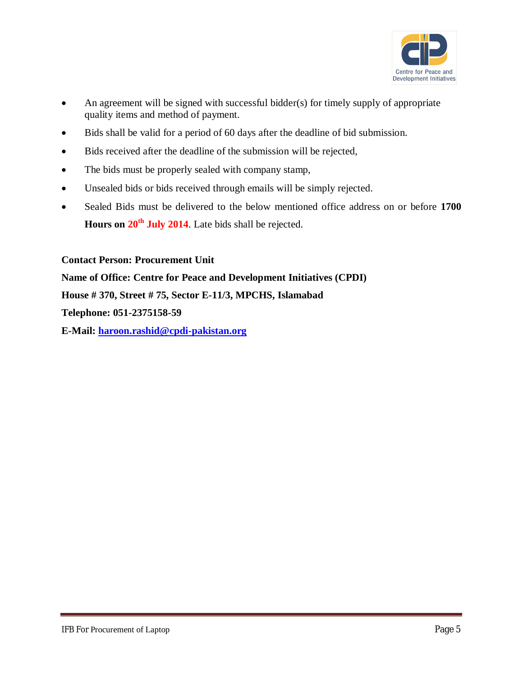

- An agreement will be signed with successful bidder(s) for timely supply of appropriate quality items and method of payment.
- Bids shall be valid for a period of 60 days after the deadline of bid submission.
- Bids received after the deadline of the submission will be rejected,
- The bids must be properly sealed with company stamp,
- Unsealed bids or bids received through emails will be simply rejected.
- Sealed Bids must be delivered to the below mentioned office address on or before **1700 Hours on 20th July 2014**. Late bids shall be rejected.

**Contact Person: Procurement Unit**

**Name of Office: Centre for Peace and Development Initiatives (CPDI)**

**House # 370, Street # 75, Sector E-11/3, MPCHS, Islamabad**

**Telephone: 051-2375158-59**

**E-Mail: haroon.rashid@cpdi-pakistan.org**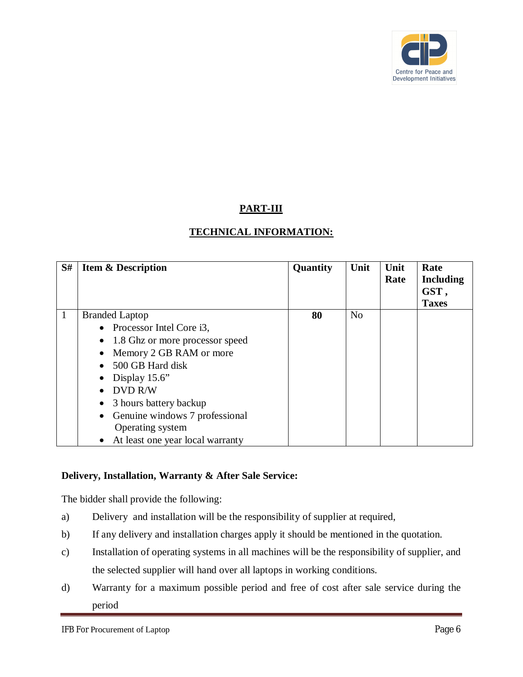

## **PART-III**

## **TECHNICAL INFORMATION:**

| S# | <b>Item &amp; Description</b>      | Quantity | Unit           | Unit | Rate             |
|----|------------------------------------|----------|----------------|------|------------------|
|    |                                    |          |                | Rate | <b>Including</b> |
|    |                                    |          |                |      | GST,             |
|    |                                    |          |                |      | <b>Taxes</b>     |
| 1  | <b>Branded Laptop</b>              | 80       | N <sub>o</sub> |      |                  |
|    | • Processor Intel Core $i3$ ,      |          |                |      |                  |
|    | 1.8 Ghz or more processor speed    |          |                |      |                  |
|    | Memory 2 GB RAM or more            |          |                |      |                  |
|    | 500 GB Hard disk                   |          |                |      |                  |
|    | Display $15.6$ "                   |          |                |      |                  |
|    | DVD R/W                            |          |                |      |                  |
|    | 3 hours battery backup             |          |                |      |                  |
|    | Genuine windows 7 professional     |          |                |      |                  |
|    | Operating system                   |          |                |      |                  |
|    | • At least one year local warranty |          |                |      |                  |

### **Delivery, Installation, Warranty & After Sale Service:**

The bidder shall provide the following:

- a) Delivery and installation will be the responsibility of supplier at required,
- b) If any delivery and installation charges apply it should be mentioned in the quotation.
- c) Installation of operating systems in all machines will be the responsibility of supplier, and the selected supplier will hand over all laptops in working conditions.
- d) Warranty for a maximum possible period and free of cost after sale service during the period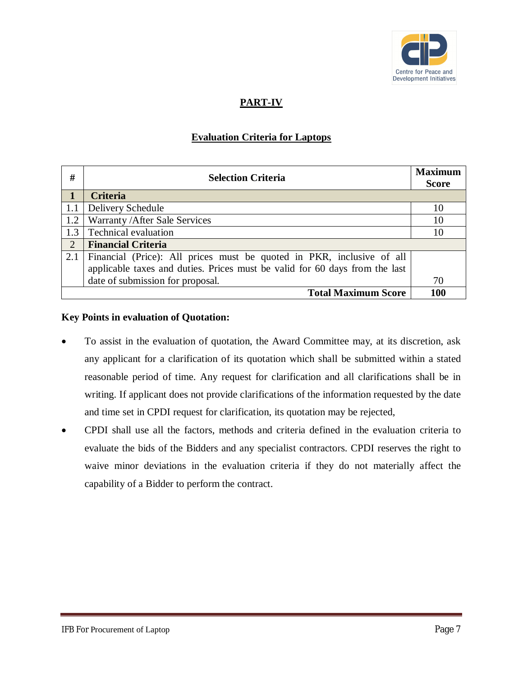

## **PART-IV**

### **Evaluation Criteria for Laptops**

| #              | <b>Selection Criteria</b>                                                   |     |
|----------------|-----------------------------------------------------------------------------|-----|
| $\mathbf{1}$   | <b>Criteria</b>                                                             |     |
| 1.1            | Delivery Schedule                                                           | 10  |
| 1.2            | Warranty / After Sale Services                                              | 10  |
| 1.3            | <b>Technical evaluation</b>                                                 | 10  |
| $\overline{2}$ | <b>Financial Criteria</b>                                                   |     |
| 2.1            | Financial (Price): All prices must be quoted in PKR, inclusive of all       |     |
|                | applicable taxes and duties. Prices must be valid for 60 days from the last |     |
|                | date of submission for proposal.                                            | 70  |
|                | <b>Total Maximum Score</b>                                                  | 100 |

### **Key Points in evaluation of Quotation:**

- To assist in the evaluation of quotation, the Award Committee may, at its discretion, ask any applicant for a clarification of its quotation which shall be submitted within a stated reasonable period of time. Any request for clarification and all clarifications shall be in writing. If applicant does not provide clarifications of the information requested by the date and time set in CPDI request for clarification, its quotation may be rejected,
- CPDI shall use all the factors, methods and criteria defined in the evaluation criteria to evaluate the bids of the Bidders and any specialist contractors. CPDI reserves the right to waive minor deviations in the evaluation criteria if they do not materially affect the capability of a Bidder to perform the contract.